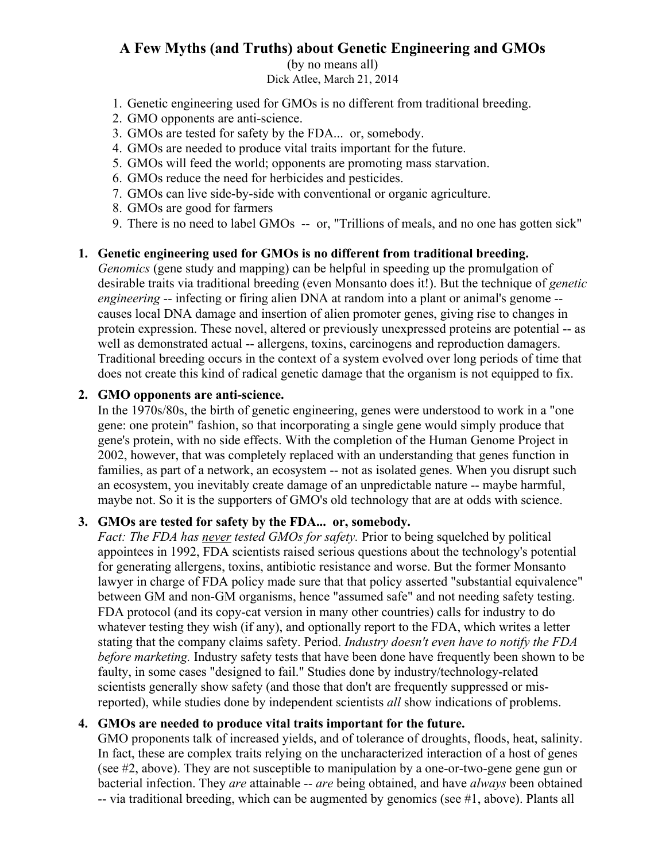# **A Few Myths (and Truths) about Genetic Engineering and GMOs**

(by no means all) Dick Atlee, March 21, 2014

- 1. Genetic engineering used for GMOs is no different from traditional breeding.
- 2. GMO opponents are anti-science.
- 3. GMOs are tested for safety by the FDA... or, somebody.
- 4. GMOs are needed to produce vital traits important for the future.
- 5. GMOs will feed the world; opponents are promoting mass starvation.
- 6. GMOs reduce the need for herbicides and pesticides.
- 7. GMOs can live side-by-side with conventional or organic agriculture.
- 8. GMOs are good for farmers
- 9. There is no need to label GMOs -- or, "Trillions of meals, and no one has gotten sick"

#### **1. Genetic engineering used for GMOs is no different from traditional breeding.**

*Genomics* (gene study and mapping) can be helpful in speeding up the promulgation of desirable traits via traditional breeding (even Monsanto does it!). But the technique of *genetic engineering* -- infecting or firing alien DNA at random into a plant or animal's genome -causes local DNA damage and insertion of alien promoter genes, giving rise to changes in protein expression. These novel, altered or previously unexpressed proteins are potential -- as well as demonstrated actual -- allergens, toxins, carcinogens and reproduction damagers. Traditional breeding occurs in the context of a system evolved over long periods of time that does not create this kind of radical genetic damage that the organism is not equipped to fix.

### **2. GMO opponents are anti-science.**

In the 1970s/80s, the birth of genetic engineering, genes were understood to work in a "one gene: one protein" fashion, so that incorporating a single gene would simply produce that gene's protein, with no side effects. With the completion of the Human Genome Project in 2002, however, that was completely replaced with an understanding that genes function in families, as part of a network, an ecosystem -- not as isolated genes. When you disrupt such an ecosystem, you inevitably create damage of an unpredictable nature -- maybe harmful, maybe not. So it is the supporters of GMO's old technology that are at odds with science.

### **3. GMOs are tested for safety by the FDA... or, somebody.**

*Fact: The FDA has never tested GMOs for safety.* Prior to being squelched by political appointees in 1992, FDA scientists raised serious questions about the technology's potential for generating allergens, toxins, antibiotic resistance and worse. But the former Monsanto lawyer in charge of FDA policy made sure that that policy asserted "substantial equivalence" between GM and non-GM organisms, hence "assumed safe" and not needing safety testing. FDA protocol (and its copy-cat version in many other countries) calls for industry to do whatever testing they wish (if any), and optionally report to the FDA, which writes a letter stating that the company claims safety. Period. *Industry doesn't even have to notify the FDA before marketing.* Industry safety tests that have been done have frequently been shown to be faulty, in some cases "designed to fail." Studies done by industry/technology-related scientists generally show safety (and those that don't are frequently suppressed or misreported), while studies done by independent scientists *all* show indications of problems.

### **4. GMOs are needed to produce vital traits important for the future.**

GMO proponents talk of increased yields, and of tolerance of droughts, floods, heat, salinity. In fact, these are complex traits relying on the uncharacterized interaction of a host of genes (see #2, above). They are not susceptible to manipulation by a one-or-two-gene gene gun or bacterial infection. They *are* attainable -- *are* being obtained, and have *always* been obtained -- via traditional breeding, which can be augmented by genomics (see #1, above). Plants all